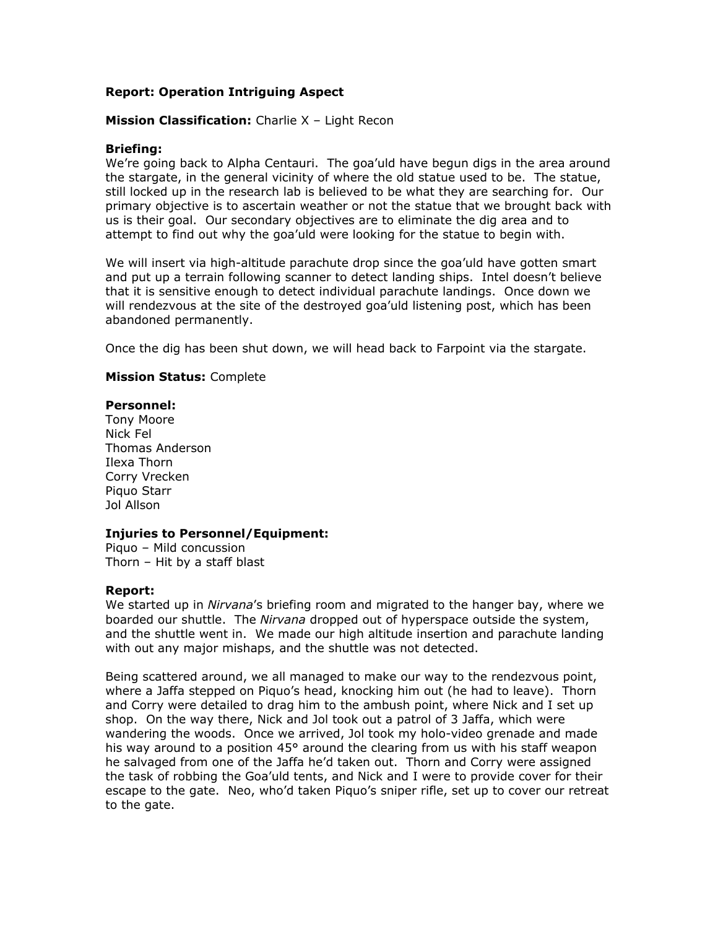# **Report: Operation Intriguing Aspect**

# **Mission Classification:** Charlie X – Light Recon

## **Briefing:**

We're going back to Alpha Centauri. The goa'uld have begun digs in the area around the stargate, in the general vicinity of where the old statue used to be. The statue, still locked up in the research lab is believed to be what they are searching for. Our primary objective is to ascertain weather or not the statue that we brought back with us is their goal. Our secondary objectives are to eliminate the dig area and to attempt to find out why the goa'uld were looking for the statue to begin with.

We will insert via high-altitude parachute drop since the goa'uld have gotten smart and put up a terrain following scanner to detect landing ships. Intel doesn't believe that it is sensitive enough to detect individual parachute landings. Once down we will rendezvous at the site of the destroyed goa'uld listening post, which has been abandoned permanently.

Once the dig has been shut down, we will head back to Farpoint via the stargate.

#### **Mission Status:** Complete

## **Personnel:**

Tony Moore Nick Fel Thomas Anderson Ilexa Thorn Corry Vrecken Piquo Starr Jol Allson

#### **Injuries to Personnel/Equipment:**

Piquo – Mild concussion Thorn – Hit by a staff blast

#### **Report:**

We started up in *Nirvana*'s briefing room and migrated to the hanger bay, where we boarded our shuttle. The *Nirvana* dropped out of hyperspace outside the system, and the shuttle went in. We made our high altitude insertion and parachute landing with out any major mishaps, and the shuttle was not detected.

Being scattered around, we all managed to make our way to the rendezvous point, where a Jaffa stepped on Piquo's head, knocking him out (he had to leave). Thorn and Corry were detailed to drag him to the ambush point, where Nick and I set up shop. On the way there, Nick and Jol took out a patrol of 3 Jaffa, which were wandering the woods. Once we arrived, Jol took my holo-video grenade and made his way around to a position 45° around the clearing from us with his staff weapon he salvaged from one of the Jaffa he'd taken out. Thorn and Corry were assigned the task of robbing the Goa'uld tents, and Nick and I were to provide cover for their escape to the gate. Neo, who'd taken Piquo's sniper rifle, set up to cover our retreat to the gate.